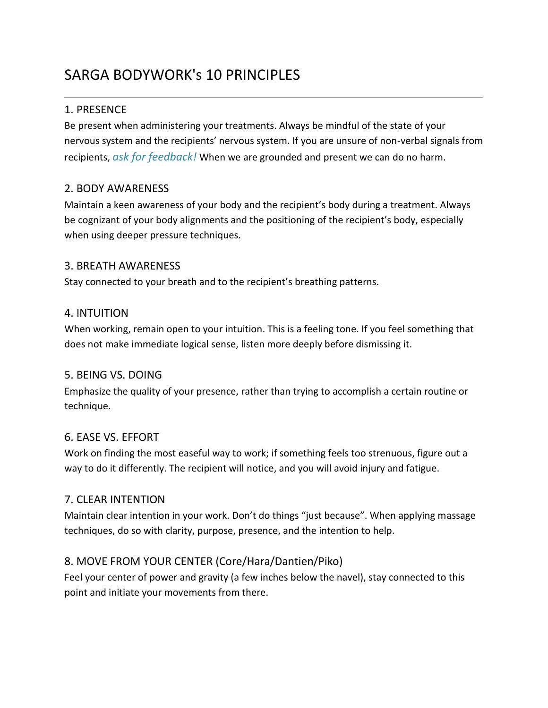# SARGA BODYWORK's 10 PRINCIPLES

## 1. PRESENCE

Be present when administering your treatments. Always be mindful of the state of your nervous system and the recipients' nervous system. If you are unsure of non-verbal signals from recipients, *ask for feedback!* When we are grounded and present we can do no harm.

#### 2. BODY AWARENESS

Maintain a keen awareness of your body and the recipient's body during a treatment. Always be cognizant of your body alignments and the positioning of the recipient's body, especially when using deeper pressure techniques.

#### 3. BREATH AWARENESS

Stay connected to your breath and to the recipient's breathing patterns.

#### 4. INTUITION

When working, remain open to your intuition. This is a feeling tone. If you feel something that does not make immediate logical sense, listen more deeply before dismissing it.

#### 5. BEING VS. DOING

Emphasize the quality of your presence, rather than trying to accomplish a certain routine or technique.

#### 6. EASE VS. EFFORT

Work on finding the most easeful way to work; if something feels too strenuous, figure out a way to do it differently. The recipient will notice, and you will avoid injury and fatigue.

#### 7. CLEAR INTENTION

Maintain clear intention in your work. Don't do things "just because". When applying massage techniques, do so with clarity, purpose, presence, and the intention to help.

## 8. MOVE FROM YOUR CENTER (Core/Hara/Dantien/Piko)

Feel your center of power and gravity (a few inches below the navel), stay connected to this point and initiate your movements from there.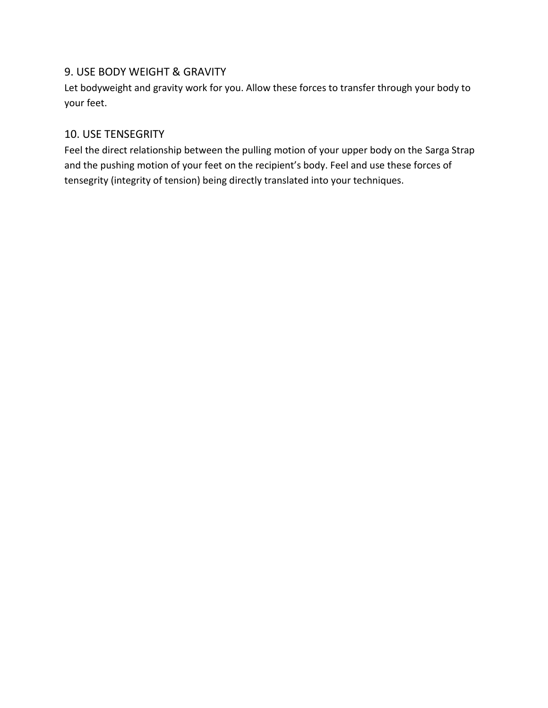#### 9. USE BODY WEIGHT & GRAVITY

Let bodyweight and gravity work for you. Allow these forces to transfer through your body to your feet.

#### 10. USE TENSEGRITY

Feel the direct relationship between the pulling motion of your upper body on the Sarga Strap and the pushing motion of your feet on the recipient's body. Feel and use these forces of tensegrity (integrity of tension) being directly translated into your techniques.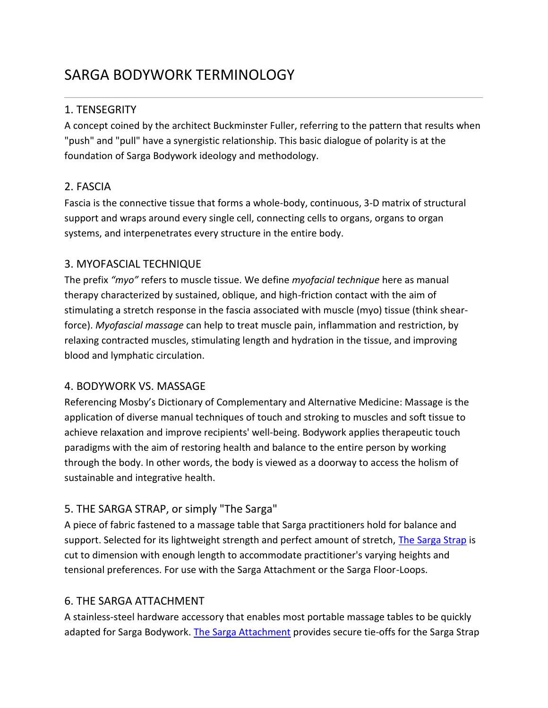# SARGA BODYWORK TERMINOLOGY

#### 1. TENSEGRITY

A concept coined by the architect Buckminster Fuller, referring to the pattern that results when "push" and "pull" have a synergistic relationship. This basic dialogue of polarity is at the foundation of Sarga Bodywork ideology and methodology.

## 2. FASCIA

Fascia is the connective tissue that forms a whole-body, continuous, 3-D matrix of structural support and wraps around every single cell, connecting cells to organs, organs to organ systems, and interpenetrates every structure in the entire body.

#### 3. MYOFASCIAL TECHNIQUE

The prefix *"myo"* refers to muscle tissue. We define *myofacial technique* here as manual therapy characterized by sustained, oblique, and high-friction contact with the aim of stimulating a stretch response in the fascia associated with muscle (myo) tissue (think shearforce). *Myofascial massage* can help to treat muscle pain, inflammation and restriction, by relaxing contracted muscles, stimulating length and hydration in the tissue, and improving blood and lymphatic circulation.

#### 4. BODYWORK VS. MASSAGE

Referencing Mosby's Dictionary of Complementary and Alternative Medicine: Massage is the application of diverse manual techniques of touch and stroking to muscles and soft tissue to achieve relaxation and improve recipients' well-being. Bodywork applies therapeutic touch paradigms with the aim of restoring health and balance to the entire person by working through the body. In other words, the body is viewed as a doorway to access the holism of sustainable and integrative health.

#### 5. THE SARGA STRAP, or simply "The Sarga"

A piece of fabric fastened to a massage table that Sarga practitioners hold for balance and support. Selected for its lightweight strength and perfect amount of stretch, [The Sarga Strap](http://www.sargabodywork.com/store/p3/The_Sarga_Strap%2A.html) is cut to dimension with enough length to accommodate practitioner's varying heights and tensional preferences. For use with the Sarga Attachment or the Sarga Floor-Loops.

## 6. THE SARGA ATTACHMENT

A stainless-steel hardware accessory that enables most portable massage tables to be quickly adapted for Sarga Bodywork. [The Sarga Attachment](http://www.sargabodywork.com/store/p1/The_Sarga_Attachment%2A_.html) provides secure tie-offs for the Sarga Strap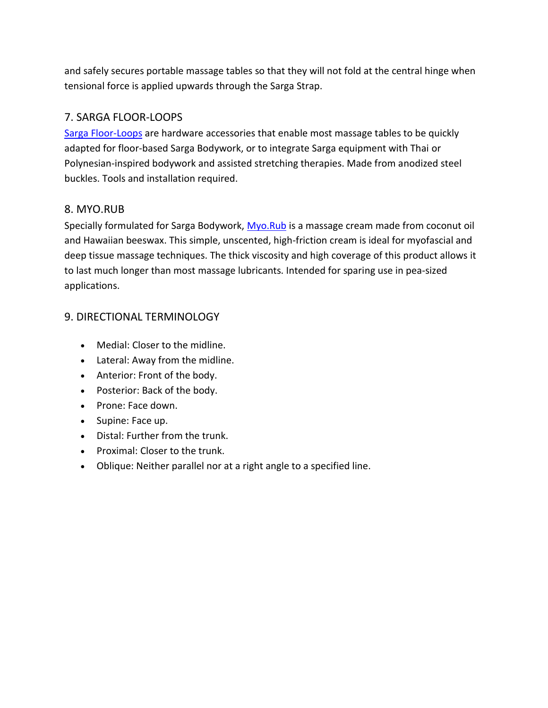and safely secures portable massage tables so that they will not fold at the central hinge when tensional force is applied upwards through the Sarga Strap.

#### 7. SARGA FLOOR-LOOPS

[Sarga Floor-Loops](http://www.sargabodywork.com/store/p13/Sarga-Floor_Loops%2A.html) are hardware accessories that enable most massage tables to be quickly adapted for floor-based Sarga Bodywork, or to integrate Sarga equipment with Thai or Polynesian-inspired bodywork and assisted stretching therapies. Made from anodized steel buckles. Tools and installation required.

#### 8. MYO.RUB

Specially formulated for Sarga Bodywork, [Myo.Rub](http://www.sargabodywork.com/store/p2/MYO.RUB_-_8_Ounce_Bottle.html) is a massage cream made from coconut oil and Hawaiian beeswax. This simple, unscented, high-friction cream is ideal for myofascial and deep tissue massage techniques. The thick viscosity and high coverage of this product allows it to last much longer than most massage lubricants. Intended for sparing use in pea-sized applications.

## 9. DIRECTIONAL TERMINOLOGY

- Medial: Closer to the midline.
- Lateral: Away from the midline.
- Anterior: Front of the body.
- Posterior: Back of the body.
- Prone: Face down.
- Supine: Face up.
- Distal: Further from the trunk.
- Proximal: Closer to the trunk.
- Oblique: Neither parallel nor at a right angle to a specified line.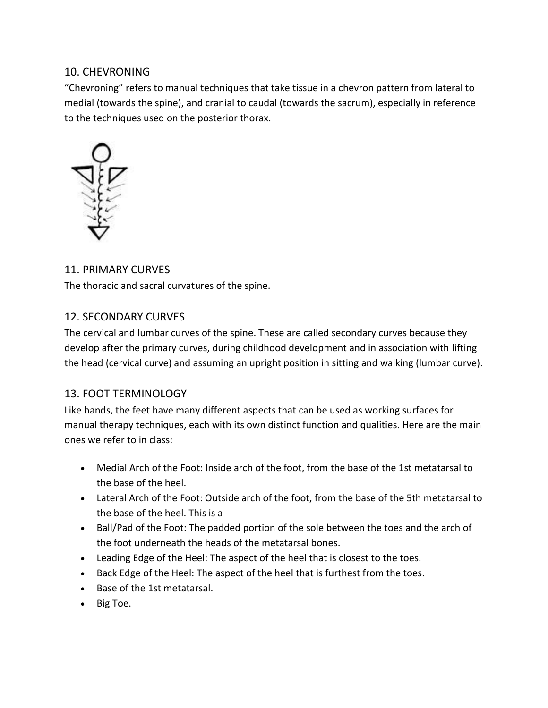#### 10. CHEVRONING

"Chevroning" refers to manual techniques that take tissue in a chevron pattern from lateral to medial (towards the spine), and cranial to caudal (towards the sacrum), especially in reference to the techniques used on the posterior thorax.



#### 11. PRIMARY CURVES

The thoracic and sacral curvatures of the spine.

#### 12. SECONDARY CURVES

The cervical and lumbar curves of the spine. These are called secondary curves because they develop after the primary curves, during childhood development and in association with lifting the head (cervical curve) and assuming an upright position in sitting and walking (lumbar curve).

## 13. FOOT TERMINOLOGY

Like hands, the feet have many different aspects that can be used as working surfaces for manual therapy techniques, each with its own distinct function and qualities. Here are the main ones we refer to in class:

- Medial Arch of the Foot: Inside arch of the foot, from the base of the 1st metatarsal to the base of the heel.
- Lateral Arch of the Foot: Outside arch of the foot, from the base of the 5th metatarsal to the base of the heel. This is a
- Ball/Pad of the Foot: The padded portion of the sole between the toes and the arch of the foot underneath the heads of the metatarsal bones.
- Leading Edge of the Heel: The aspect of the heel that is closest to the toes.
- Back Edge of the Heel: The aspect of the heel that is furthest from the toes.
- Base of the 1st metatarsal.
- Big Toe.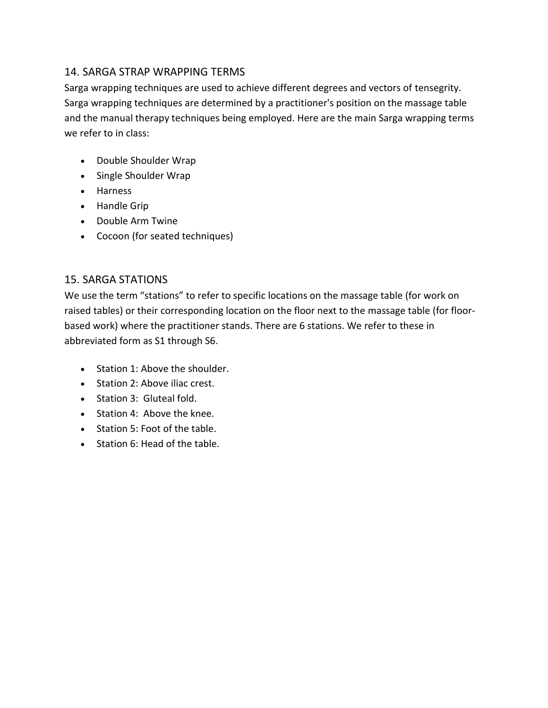#### 14. SARGA STRAP WRAPPING TERMS

Sarga wrapping techniques are used to achieve different degrees and vectors of tensegrity. Sarga wrapping techniques are determined by a practitioner's position on the massage table and the manual therapy techniques being employed. Here are the main Sarga wrapping terms we refer to in class:

- Double Shoulder Wrap
- Single Shoulder Wrap
- Harness
- Handle Grip
- Double Arm Twine
- Cocoon (for seated techniques)

#### 15. SARGA STATIONS

We use the term "stations" to refer to specific locations on the massage table (for work on raised tables) or their corresponding location on the floor next to the massage table (for floorbased work) where the practitioner stands. There are 6 stations. We refer to these in abbreviated form as S1 through S6.

- Station 1: Above the shoulder.
- Station 2: Above iliac crest.
- Station 3: Gluteal fold.
- Station 4: Above the knee.
- Station 5: Foot of the table.
- Station 6: Head of the table.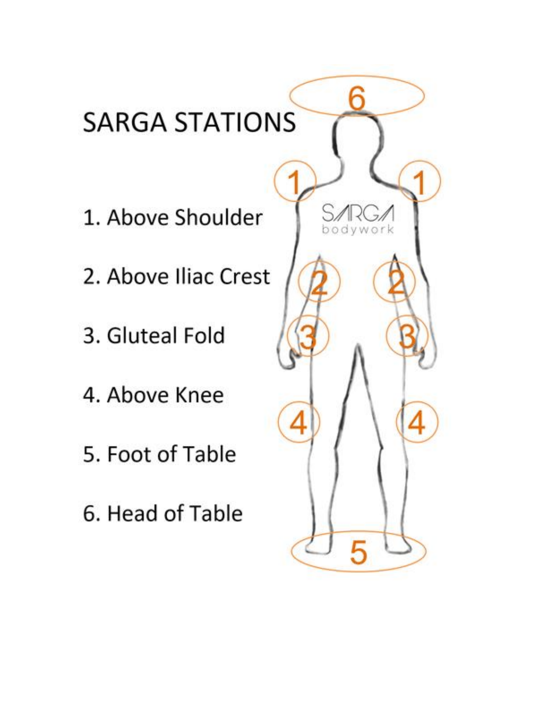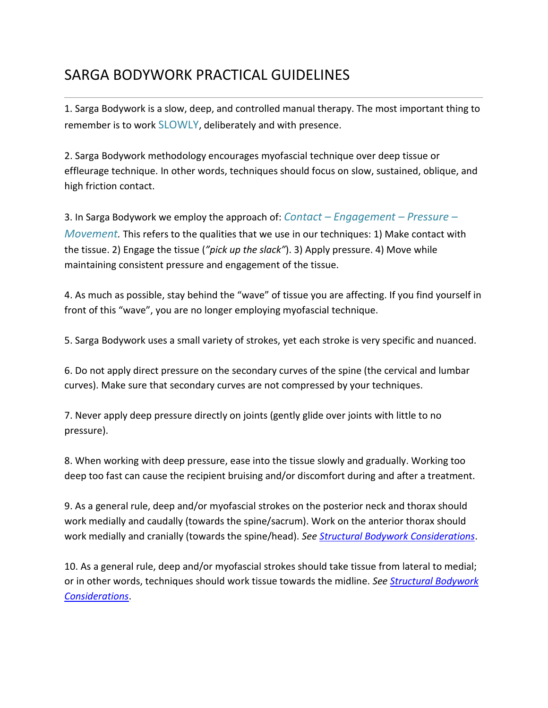# SARGA BODYWORK PRACTICAL GUIDELINES

1. Sarga Bodywork is a slow, deep, and controlled manual therapy. The most important thing to remember is to work SLOWLY, deliberately and with presence.

2. Sarga Bodywork methodology encourages myofascial technique over deep tissue or effleurage technique. In other words, techniques should focus on slow, sustained, oblique, and high friction contact.

3. In Sarga Bodywork we employ the approach of: *Contact – Engagement – Pressure – Movement.* This refers to the qualities that we use in our techniques: 1) Make contact with the tissue. 2) Engage the tissue (*"pick up the slack"*). 3) Apply pressure. 4) Move while maintaining consistent pressure and engagement of the tissue.

4. As much as possible, stay behind the "wave" of tissue you are affecting. If you find yourself in front of this "wave", you are no longer employing myofascial technique.

5. Sarga Bodywork uses a small variety of strokes, yet each stroke is very specific and nuanced.

6. Do not apply direct pressure on the secondary curves of the spine (the cervical and lumbar curves). Make sure that secondary curves are not compressed by your techniques.

7. Never apply deep pressure directly on joints (gently glide over joints with little to no pressure).

8. When working with deep pressure, ease into the tissue slowly and gradually. Working too deep too fast can cause the recipient bruising and/or discomfort during and after a treatment.

9. As a general rule, deep and/or myofascial strokes on the posterior neck and thorax should work medially and caudally (towards the spine/sacrum). Work on the anterior thorax should work medially and cranially (towards the spine/head). *See [Structural Bodywork Considerations](http://www.sargabodywork.com/structural-bodywork-considerations.html)*.

10. As a general rule, deep and/or myofascial strokes should take tissue from lateral to medial; or in other words, techniques should work tissue towards the midline. *See [Structural Bodywork](http://www.sargabodywork.com/structural-bodywork-considerations.html)  [Considerations](http://www.sargabodywork.com/structural-bodywork-considerations.html)*.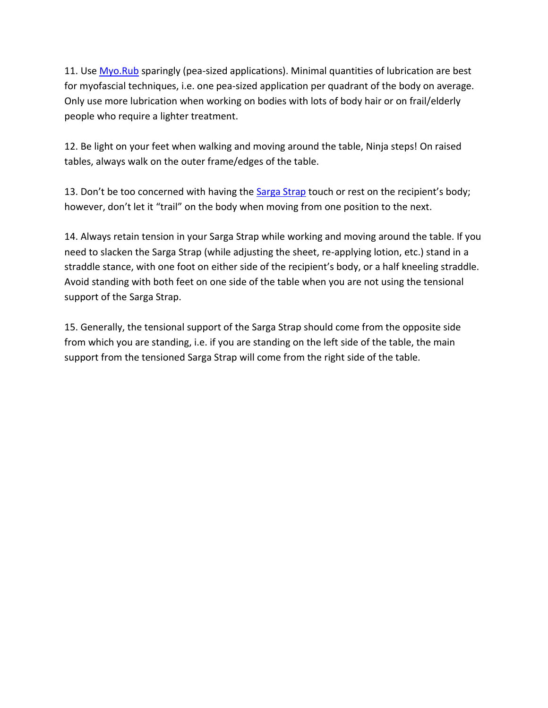11. Use [Myo.Rub](http://www.sargabodywork.com/store/p2/MYO.RUB_-_8_Ounce_Bottle.html) sparingly (pea-sized applications). Minimal quantities of lubrication are best for myofascial techniques, i.e. one pea-sized application per quadrant of the body on average. Only use more lubrication when working on bodies with lots of body hair or on frail/elderly people who require a lighter treatment.

12. Be light on your feet when walking and moving around the table, Ninja steps! On raised tables, always walk on the outer frame/edges of the table.

13. Don't be too concerned with having the **[Sarga Strap](http://www.sargabodywork.com/store/p3/The_Sarga_Strap%2A.html)** touch or rest on the recipient's body; however, don't let it "trail" on the body when moving from one position to the next.

14. Always retain tension in your Sarga Strap while working and moving around the table. If you need to slacken the Sarga Strap (while adjusting the sheet, re-applying lotion, etc.) stand in a straddle stance, with one foot on either side of the recipient's body, or a half kneeling straddle. Avoid standing with both feet on one side of the table when you are not using the tensional support of the Sarga Strap.

15. Generally, the tensional support of the Sarga Strap should come from the opposite side from which you are standing, i.e. if you are standing on the left side of the table, the main support from the tensioned Sarga Strap will come from the right side of the table.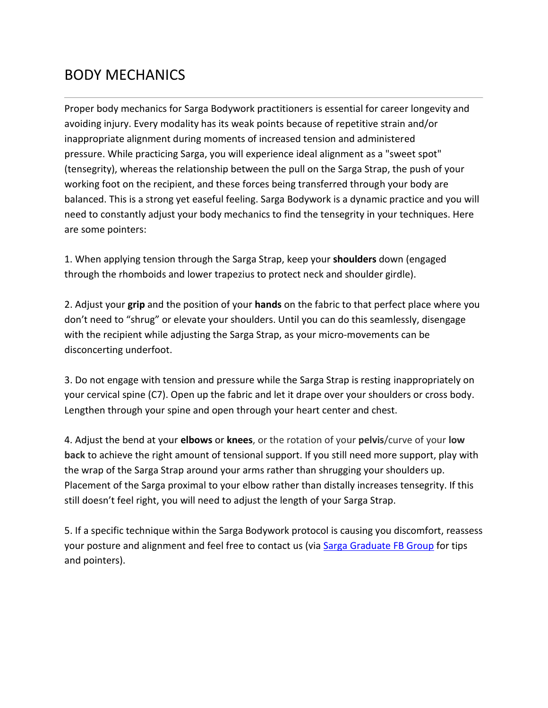## BODY MECHANICS

Proper body mechanics for Sarga Bodywork practitioners is essential for career longevity and avoiding injury. Every modality has its weak points because of repetitive strain and/or inappropriate alignment during moments of increased tension and administered pressure. While practicing Sarga, you will experience ideal alignment as a "sweet spot" (tensegrity), whereas the relationship between the pull on the Sarga Strap, the push of your working foot on the recipient, and these forces being transferred through your body are balanced. This is a strong yet easeful feeling. Sarga Bodywork is a dynamic practice and you will need to constantly adjust your body mechanics to find the tensegrity in your techniques. Here are some pointers:

1. When applying tension through the Sarga Strap, keep your **shoulders** down (engaged through the rhomboids and lower trapezius to protect neck and shoulder girdle).

2. Adjust your **grip** and the position of your **hands** on the fabric to that perfect place where you don't need to "shrug" or elevate your shoulders. Until you can do this seamlessly, disengage with the recipient while adjusting the Sarga Strap, as your micro-movements can be disconcerting underfoot.

3. Do not engage with tension and pressure while the Sarga Strap is resting inappropriately on your cervical spine (C7). Open up the fabric and let it drape over your shoulders or cross body. Lengthen through your spine and open through your heart center and chest.

4. Adjust the bend at your **elbows** or **knees**, or the rotation of your **pelvis**/curve of your **low back** to achieve the right amount of tensional support. If you still need more support, play with the wrap of the Sarga Strap around your arms rather than shrugging your shoulders up. Placement of the Sarga proximal to your elbow rather than distally increases tensegrity. If this still doesn't feel right, you will need to adjust the length of your Sarga Strap.

5. If a specific technique within the Sarga Bodywork protocol is causing you discomfort, reassess your posture and alignment and feel free to contact us (via [Sarga Graduate FB Group](https://www.facebook.com/groups/172835449916250/) for tips and pointers).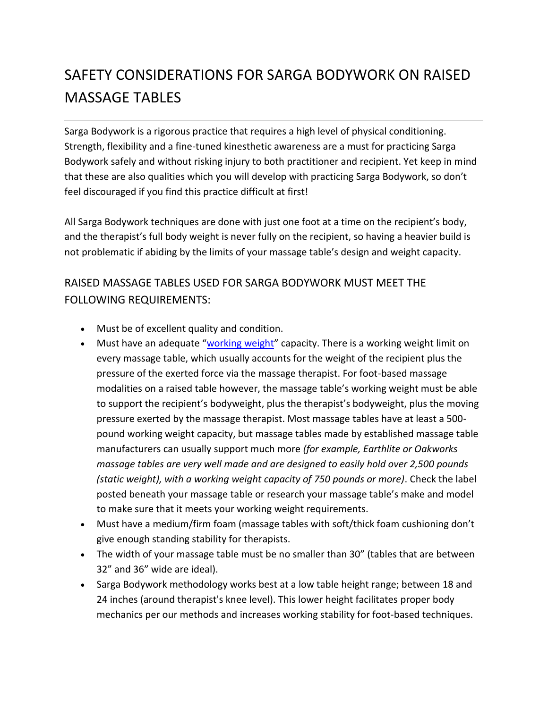# SAFETY CONSIDERATIONS FOR SARGA BODYWORK ON RAISED MASSAGE TABLES

Sarga Bodywork is a rigorous practice that requires a high level of physical conditioning. Strength, flexibility and a fine-tuned kinesthetic awareness are a must for practicing Sarga Bodywork safely and without risking injury to both practitioner and recipient. Yet keep in mind that these are also qualities which you will develop with practicing Sarga Bodywork, so don't feel discouraged if you find this practice difficult at first!

All Sarga Bodywork techniques are done with just one foot at a time on the recipient's body, and the therapist's full body weight is never fully on the recipient, so having a heavier build is not problematic if abiding by the limits of your massage table's design and weight capacity.

## RAISED MASSAGE TABLES USED FOR SARGA BODYWORK MUST MEET THE FOLLOWING REQUIREMENTS:

- Must be of excellent quality and condition.
- Must have an adequate "[working weight](https://www.massageking.com/content/Massage-Table-FAQ/214)" capacity. There is a working weight limit on every massage table, which usually accounts for the weight of the recipient plus the pressure of the exerted force via the massage therapist. For foot-based massage modalities on a raised table however, the massage table's working weight must be able to support the recipient's bodyweight, plus the therapist's bodyweight, plus the moving pressure exerted by the massage therapist. Most massage tables have at least a 500 pound working weight capacity, but massage tables made by established massage table manufacturers can usually support much more *(for example, Earthlite or Oakworks massage tables are very well made and are designed to easily hold over 2,500 pounds (static weight), with a working weight capacity of 750 pounds or more)*. Check the label posted beneath your massage table or research your massage table's make and model to make sure that it meets your working weight requirements.
- Must have a medium/firm foam (massage tables with soft/thick foam cushioning don't give enough standing stability for therapists.
- The width of your massage table must be no smaller than 30" (tables that are between 32" and 36" wide are ideal).
- Sarga Bodywork methodology works best at a low table height range; between 18 and 24 inches (around therapist's knee level). This lower height facilitates proper body mechanics per our methods and increases working stability for foot-based techniques.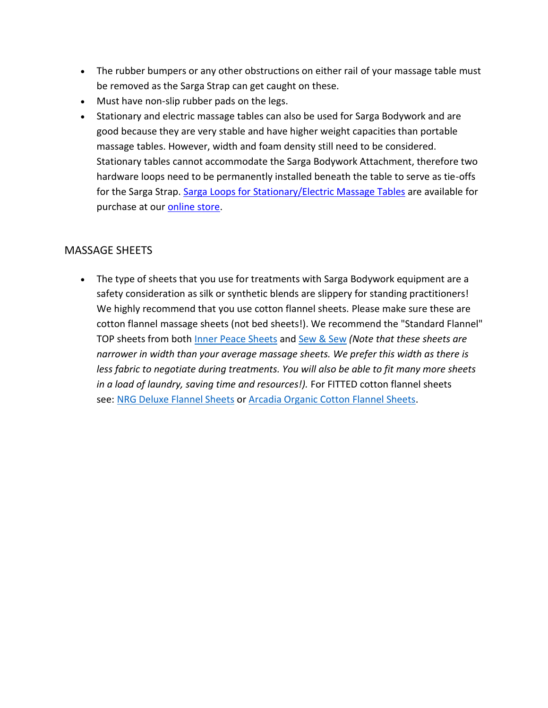- The rubber bumpers or any other obstructions on either rail of your massage table must be removed as the Sarga Strap can get caught on these.
- Must have non-slip rubber pads on the legs.
- Stationary and electric massage tables can also be used for Sarga Bodywork and are good because they are very stable and have higher weight capacities than portable massage tables. However, width and foam density still need to be considered. Stationary tables cannot accommodate the Sarga Bodywork Attachment, therefore two hardware loops need to be permanently installed beneath the table to serve as tie-offs for the Sarga Strap. [Sarga Loops for Stationary/Electric](http://www.sargabodywork.com/store/p28/Sarga_Loops_for_Stationary_Tables.html) Massage Tables are available for purchase at our [online store.](http://www.sargabodywork.com/products.html)

#### MASSAGE SHEETS

• The type of sheets that you use for treatments with Sarga Bodywork equipment are a safety consideration as silk or synthetic blends are slippery for standing practitioners! We highly recommend that you use cotton flannel sheets. Please make sure these are cotton flannel massage sheets (not bed sheets!). We recommend the "Standard Flannel" TOP sheets from both [Inner Peace Sheets](http://www.innerpeacesheets.com/) and [Sew & Sew](http://sewandsewonline.com/) *(Note that these sheets are narrower in width than your average massage sheets. We prefer this width as there is less fabric to negotiate during treatments. You will also be able to fit many more sheets in a load of laundry, saving time and resources!).* For FITTED cotton flannel sheets see: [NRG Deluxe Flannel Sheets](https://www.amazon.com/NRG-DELUXE-FLANNEL-FITTED-NATURAL/dp/B072K6X76H/ref=sr_1_2_sspa?ie=UTF8&qid=1535550170&sr=8-2-spons&keywords=fitted+flannel+massage+sheet&psc=1) or [Arcadia Organic Cotton Flannel Sheets.](https://www.amazon.com/ArcadiaTM100-Organic-Cotton-Flannel-Massage/dp/B06Y64LB7N/ref=sr_1_1_sspa?ie=UTF8&qid=1535550170&sr=8-1-spons&keywords=fitted+flannel+massage+sheet&psc=1)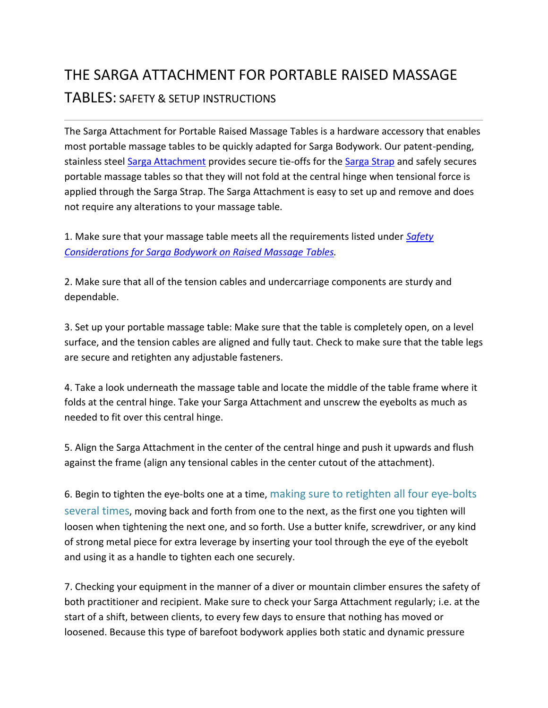# THE SARGA ATTACHMENT FOR PORTABLE RAISED MASSAGE TABLES: SAFETY & SETUP INSTRUCTIONS

The Sarga Attachment for Portable Raised Massage Tables is a hardware accessory that enables most portable massage tables to be quickly adapted for Sarga Bodywork. Our patent-pending, stainless steel [Sarga Attachment](http://www.sargabodywork.com/store/p1/The_Sarga_Attachment%2A_.html) provides secure tie-offs for the [Sarga Strap](http://www.sargabodywork.com/store/p3/The_Sarga_Strap%2A.html) and safely secures portable massage tables so that they will not fold at the central hinge when tensional force is applied through the Sarga Strap. The Sarga Attachment is easy to set up and remove and does not require any alterations to your massage table.

1. Make sure that your massage table meets all the requirements listed under *[Safety](http://www.sargabodywork.com/safety-considerations-for-sarga-bodywork-on-raised-massage-tables.html)  [Considerations for Sarga Bodywork on Raised Massage Tables.](http://www.sargabodywork.com/safety-considerations-for-sarga-bodywork-on-raised-massage-tables.html)*

2. Make sure that all of the tension cables and undercarriage components are sturdy and dependable.

3. Set up your portable massage table: Make sure that the table is completely open, on a level surface, and the tension cables are aligned and fully taut. Check to make sure that the table legs are secure and retighten any adjustable fasteners.

4. Take a look underneath the massage table and locate the middle of the table frame where it folds at the central hinge. Take your Sarga Attachment and unscrew the eyebolts as much as needed to fit over this central hinge.

5. Align the Sarga Attachment in the center of the central hinge and push it upwards and flush against the frame (align any tensional cables in the center cutout of the attachment).

6. Begin to tighten the eye-bolts one at a time, making sure to retighten all four eye-bolts several times, moving back and forth from one to the next, as the first one you tighten will loosen when tightening the next one, and so forth. Use a butter knife, screwdriver, or any kind of strong metal piece for extra leverage by inserting your tool through the eye of the eyebolt and using it as a handle to tighten each one securely.

7. Checking your equipment in the manner of a diver or mountain climber ensures the safety of both practitioner and recipient. Make sure to check your Sarga Attachment regularly; i.e. at the start of a shift, between clients, to every few days to ensure that nothing has moved or loosened. Because this type of barefoot bodywork applies both static and dynamic pressure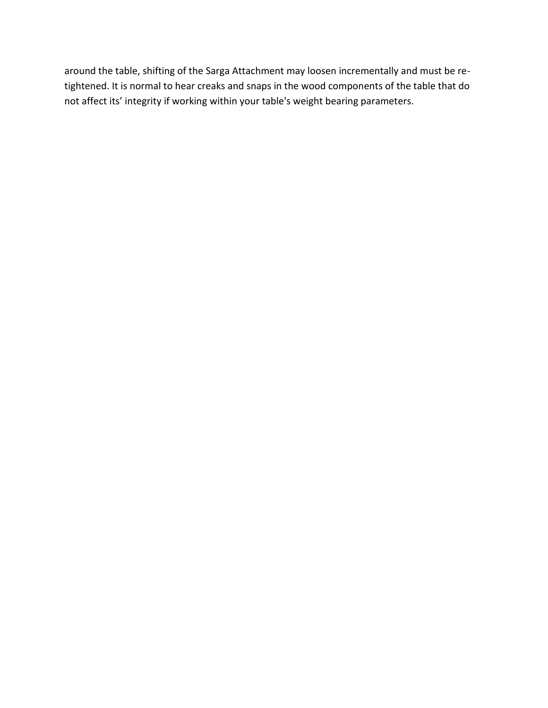around the table, shifting of the Sarga Attachment may loosen incrementally and must be retightened. It is normal to hear creaks and snaps in the wood components of the table that do not affect its' integrity if working within your table's weight bearing parameters.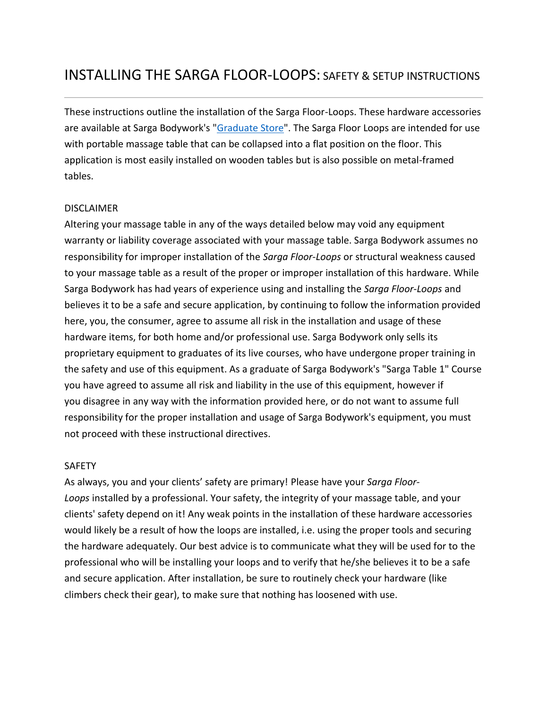These instructions outline the installation of the Sarga Floor-Loops. These hardware accessories are available at Sarga Bodywork's ["Graduate Store"](http://www.sargabodywork.com/store/c2/GRADUATE_STORE.html). The Sarga Floor Loops are intended for use with portable massage table that can be collapsed into a flat position on the floor. This application is most easily installed on wooden tables but is also possible on metal-framed tables.

#### DISCLAIMER

Altering your massage table in any of the ways detailed below may void any equipment warranty or liability coverage associated with your massage table. Sarga Bodywork assumes no responsibility for improper installation of the *Sarga Floor-Loops* or structural weakness caused to your massage table as a result of the proper or improper installation of this hardware. While Sarga Bodywork has had years of experience using and installing the *Sarga Floor-Loops* and believes it to be a safe and secure application, by continuing to follow the information provided here, you, the consumer, agree to assume all risk in the installation and usage of these hardware items, for both home and/or professional use. Sarga Bodywork only sells its proprietary equipment to graduates of its live courses, who have undergone proper training in the safety and use of this equipment. As a graduate of Sarga Bodywork's "Sarga Table 1" Course you have agreed to assume all risk and liability in the use of this equipment, however if you disagree in any way with the information provided here, or do not want to assume full responsibility for the proper installation and usage of Sarga Bodywork's equipment, you must not proceed with these instructional directives.

#### SAFETY

As always, you and your clients' safety are primary! Please have your *Sarga Floor-Loops* installed by a professional. Your safety, the integrity of your massage table, and your clients' safety depend on it! Any weak points in the installation of these hardware accessories would likely be a result of how the loops are installed, i.e. using the proper tools and securing the hardware adequately. Our best advice is to communicate what they will be used for to the professional who will be installing your loops and to verify that he/she believes it to be a safe and secure application. After installation, be sure to routinely check your hardware (like climbers check their gear), to make sure that nothing has loosened with use.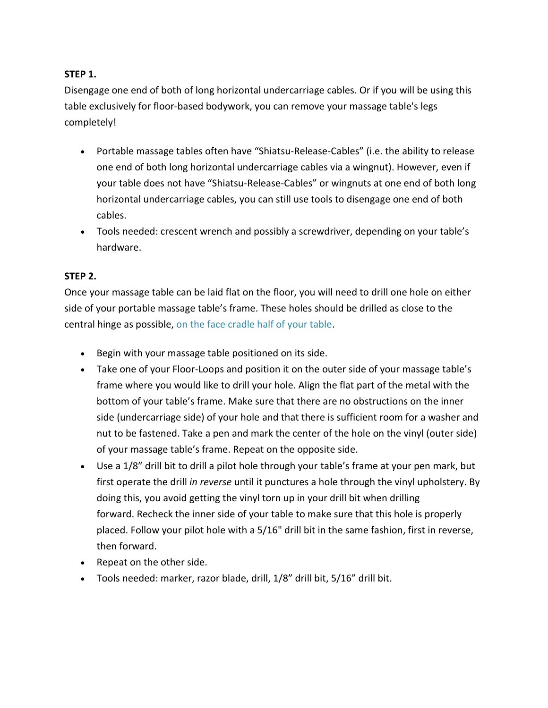#### **STEP 1.**

Disengage one end of both of long horizontal undercarriage cables. Or if you will be using this table exclusively for floor-based bodywork, you can remove your massage table's legs completely!

- Portable massage tables often have "Shiatsu-Release-Cables" (i.e. the ability to release one end of both long horizontal undercarriage cables via a wingnut). However, even if your table does not have "Shiatsu-Release-Cables" or wingnuts at one end of both long horizontal undercarriage cables, you can still use tools to disengage one end of both cables.
- Tools needed: crescent wrench and possibly a screwdriver, depending on your table's hardware.

#### **STEP 2.**

Once your massage table can be laid flat on the floor, you will need to drill one hole on either side of your portable massage table's frame. These holes should be drilled as close to the central hinge as possible, on the face cradle half of your table.

- Begin with your massage table positioned on its side.
- Take one of your Floor-Loops and position it on the outer side of your massage table's frame where you would like to drill your hole. Align the flat part of the metal with the bottom of your table's frame. Make sure that there are no obstructions on the inner side (undercarriage side) of your hole and that there is sufficient room for a washer and nut to be fastened. Take a pen and mark the center of the hole on the vinyl (outer side) of your massage table's frame. Repeat on the opposite side.
- Use a 1/8" drill bit to drill a pilot hole through your table's frame at your pen mark, but first operate the drill *in reverse* until it punctures a hole through the vinyl upholstery. By doing this, you avoid getting the vinyl torn up in your drill bit when drilling forward. Recheck the inner side of your table to make sure that this hole is properly placed. Follow your pilot hole with a 5/16" drill bit in the same fashion, first in reverse, then forward.
- Repeat on the other side.
- Tools needed: marker, razor blade, drill, 1/8" drill bit, 5/16" drill bit.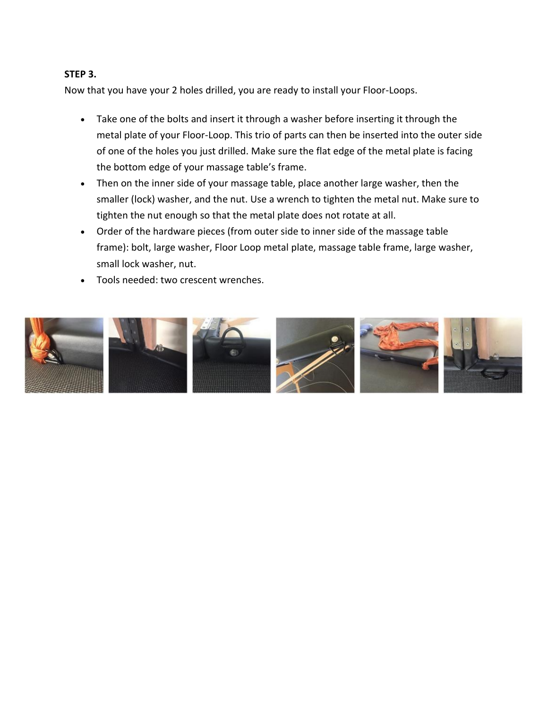#### **STEP 3.**

Now that you have your 2 holes drilled, you are ready to install your Floor-Loops.

- Take one of the bolts and insert it through a washer before inserting it through the metal plate of your Floor-Loop. This trio of parts can then be inserted into the outer side of one of the holes you just drilled. Make sure the flat edge of the metal plate is facing the bottom edge of your massage table's frame.
- Then on the inner side of your massage table, place another large washer, then the smaller (lock) washer, and the nut. Use a wrench to tighten the metal nut. Make sure to tighten the nut enough so that the metal plate does not rotate at all.
- Order of the hardware pieces (from outer side to inner side of the massage table frame): bolt, large washer, Floor Loop metal plate, massage table frame, large washer, small lock washer, nut.
- Tools needed: two crescent wrenches.

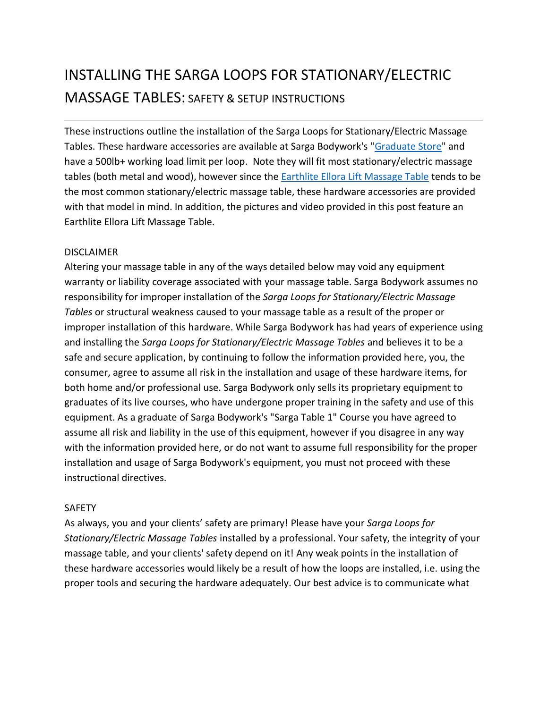# INSTALLING THE SARGA LOOPS FOR STATIONARY/ELECTRIC MASSAGE TABLES: SAFETY & SETUP INSTRUCTIONS

These instructions outline the installation of the Sarga Loops for Stationary/Electric Massage Tables. These hardware accessories are available at Sarga Bodywork's ["Graduate Store"](http://www.sargabodywork.com/store/c2/GRADUATE_STORE.html) and have a 500lb+ working load limit per loop. Note they will fit most stationary/electric massage tables (both metal and wood), however since the **[Earthlite Ellora Lift Massage Table](https://www.earthlite.com/massage-tables/spa-salon-massage-tables/ellora-spa-and-salon-massage-table.html)** tends to be the most common stationary/electric massage table, these hardware accessories are provided with that model in mind. In addition, the pictures and video provided in this post feature an Earthlite Ellora Lift Massage Table.

#### DISCLAIMER

Altering your massage table in any of the ways detailed below may void any equipment warranty or liability coverage associated with your massage table. Sarga Bodywork assumes no responsibility for improper installation of the *Sarga Loops for Stationary/Electric Massage Tables* or structural weakness caused to your massage table as a result of the proper or improper installation of this hardware. While Sarga Bodywork has had years of experience using and installing the *Sarga Loops for Stationary/Electric Massage Tables* and believes it to be a safe and secure application, by continuing to follow the information provided here, you, the consumer, agree to assume all risk in the installation and usage of these hardware items, for both home and/or professional use. Sarga Bodywork only sells its proprietary equipment to graduates of its live courses, who have undergone proper training in the safety and use of this equipment. As a graduate of Sarga Bodywork's "Sarga Table 1" Course you have agreed to assume all risk and liability in the use of this equipment, however if you disagree in any way with the information provided here, or do not want to assume full responsibility for the proper installation and usage of Sarga Bodywork's equipment, you must not proceed with these instructional directives.

#### SAFETY

As always, you and your clients' safety are primary! Please have your *Sarga Loops for Stationary/Electric Massage Tables* installed by a professional. Your safety, the integrity of your massage table, and your clients' safety depend on it! Any weak points in the installation of these hardware accessories would likely be a result of how the loops are installed, i.e. using the proper tools and securing the hardware adequately. Our best advice is to communicate what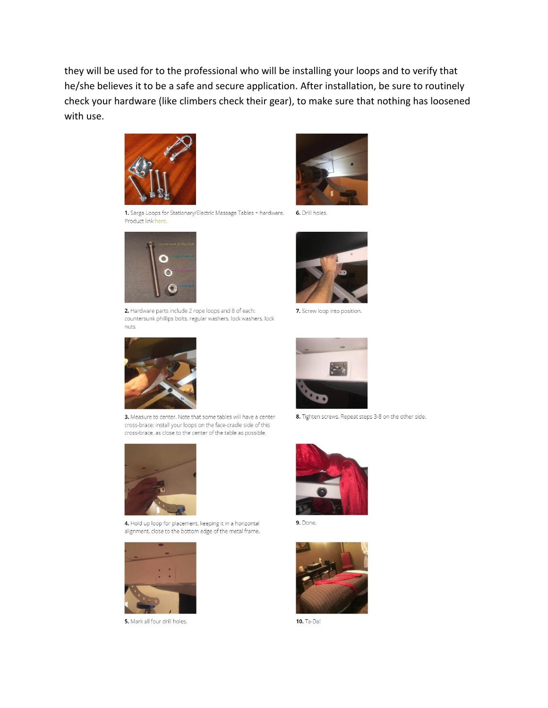they will be used for to the professional who will be installing your loops and to verify that he/she believes it to be a safe and secure application. After installation, be sure to routinely check your hardware (like climbers check their gear), to make sure that nothing has loosened with use.



1. Sarga Loops for Stationary/Electric Massage Tables + hardware. Product link here.



2. Hardware parts include 2 rope loops and 8 of each: countersunk phillips bolts, regular washers, lock washers, lock nuts.



3. Measure to center. Note that some tables will have a center cross-brace; install your loops on the face-cradle side of this cross-brace, as close to the center of the table as possible.



4. Hold up loop for placement, keeping it in a horizontal alignment, close to the bottom edge of the metal frame.



5. Mark all four drill holes.



6. Drill holes.



7. Screw loop into position.



8. Tighten screws. Repeat steps 3-8 on the other side.



9. Done.



10. Ta-Da!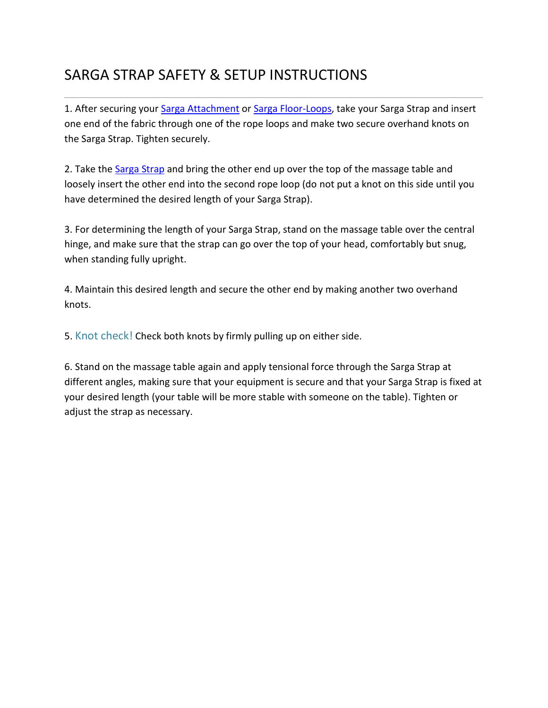# SARGA STRAP SAFETY & SETUP INSTRUCTIONS

1. After securing your [Sarga Attachment](http://www.sargabodywork.com/store/p1/The_Sarga_Attachment%2A_.html) or [Sarga Floor-Loops,](http://www.sargabodywork.com/store/p13/Sarga-Floor_Loops%2A.html) take your Sarga Strap and insert one end of the fabric through one of the rope loops and make two secure overhand knots on the Sarga Strap. Tighten securely.

2. Take the [Sarga Strap](http://www.sargabodywork.com/store/p3/The_Sarga_Strap%2A.html) and bring the other end up over the top of the massage table and loosely insert the other end into the second rope loop (do not put a knot on this side until you have determined the desired length of your Sarga Strap).

3. For determining the length of your Sarga Strap, stand on the massage table over the central hinge, and make sure that the strap can go over the top of your head, comfortably but snug, when standing fully upright.

4. Maintain this desired length and secure the other end by making another two overhand knots.

5. Knot check! Check both knots by firmly pulling up on either side.

6. Stand on the massage table again and apply tensional force through the Sarga Strap at different angles, making sure that your equipment is secure and that your Sarga Strap is fixed at your desired length (your table will be more stable with someone on the table). Tighten or adjust the strap as necessary.